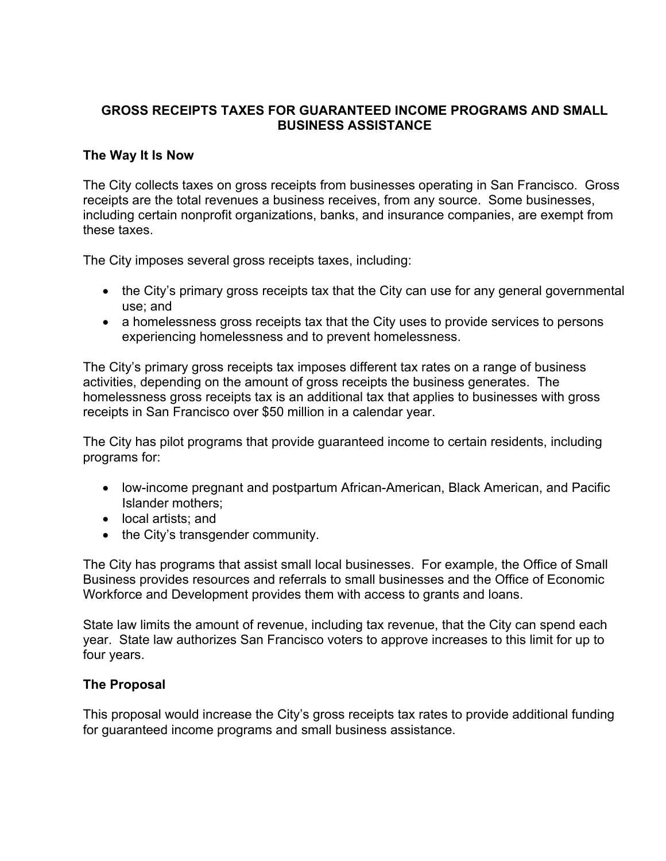## **GROSS RECEIPTS TAXES FOR GUARANTEED INCOME PROGRAMS AND SMALL BUSINESS ASSISTANCE**

## **The Way It Is Now**

The City collects taxes on gross receipts from businesses operating in San Francisco. Gross receipts are the total revenues a business receives, from any source. Some businesses, including certain nonprofit organizations, banks, and insurance companies, are exempt from these taxes.

The City imposes several gross receipts taxes, including:

- the City's primary gross receipts tax that the City can use for any general governmental use; and
- a homelessness gross receipts tax that the City uses to provide services to persons experiencing homelessness and to prevent homelessness.

The City's primary gross receipts tax imposes different tax rates on a range of business activities, depending on the amount of gross receipts the business generates. The homelessness gross receipts tax is an additional tax that applies to businesses with gross receipts in San Francisco over \$50 million in a calendar year.

The City has pilot programs that provide guaranteed income to certain residents, including programs for:

- low-income pregnant and postpartum African-American, Black American, and Pacific Islander mothers;
- local artists; and
- the City's transgender community.

The City has programs that assist small local businesses. For example, the Office of Small Business provides resources and referrals to small businesses and the Office of Economic Workforce and Development provides them with access to grants and loans.

State law limits the amount of revenue, including tax revenue, that the City can spend each year. State law authorizes San Francisco voters to approve increases to this limit for up to four years.

## **The Proposal**

This proposal would increase the City's gross receipts tax rates to provide additional funding for guaranteed income programs and small business assistance.